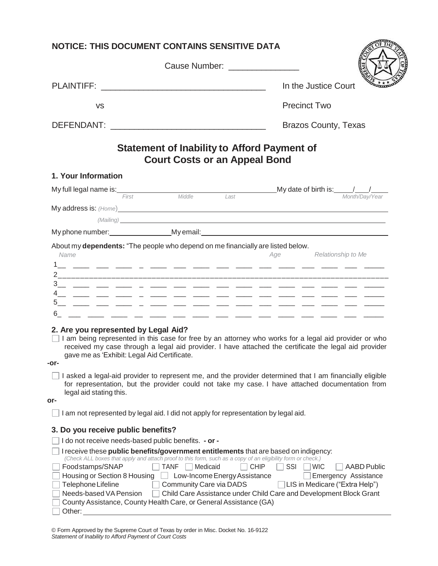| <b>NOTICE: THIS DOCUMENT CONTAINS SENSITIVE DATA</b>                                                                                                                                                                                                                                                                                                                         |                                                                                            |                                                                                                                                                                                                                                     |
|------------------------------------------------------------------------------------------------------------------------------------------------------------------------------------------------------------------------------------------------------------------------------------------------------------------------------------------------------------------------------|--------------------------------------------------------------------------------------------|-------------------------------------------------------------------------------------------------------------------------------------------------------------------------------------------------------------------------------------|
|                                                                                                                                                                                                                                                                                                                                                                              | Cause Number: ________________                                                             |                                                                                                                                                                                                                                     |
|                                                                                                                                                                                                                                                                                                                                                                              |                                                                                            | In the Justice Court                                                                                                                                                                                                                |
| <b>VS</b>                                                                                                                                                                                                                                                                                                                                                                    |                                                                                            | <b>Precinct Two</b>                                                                                                                                                                                                                 |
|                                                                                                                                                                                                                                                                                                                                                                              |                                                                                            | <b>Brazos County, Texas</b>                                                                                                                                                                                                         |
|                                                                                                                                                                                                                                                                                                                                                                              | <b>Statement of Inability to Afford Payment of</b><br><b>Court Costs or an Appeal Bond</b> |                                                                                                                                                                                                                                     |
| 1. Your Information                                                                                                                                                                                                                                                                                                                                                          |                                                                                            |                                                                                                                                                                                                                                     |
|                                                                                                                                                                                                                                                                                                                                                                              |                                                                                            | My full legal name is: $\frac{1}{f_{\text{first}}}$ Middle $\frac{1}{f_{\text{test}}}$ My date of birth is: $\frac{1}{f_{\text{test}}}$                                                                                             |
|                                                                                                                                                                                                                                                                                                                                                                              |                                                                                            | (Mailing) <b>Example 2020</b> The Contract of the Contract of the Contract of the Contract of the Contract of the Contract of the Contract of the Contract of the Contract of the Contract of the Contract of the Contract of the C |
|                                                                                                                                                                                                                                                                                                                                                                              |                                                                                            |                                                                                                                                                                                                                                     |
|                                                                                                                                                                                                                                                                                                                                                                              |                                                                                            |                                                                                                                                                                                                                                     |
| 2. Are you represented by Legal Aid?<br>gave me as 'Exhibit: Legal Aid Certificate.<br>-or-                                                                                                                                                                                                                                                                                  |                                                                                            | I am being represented in this case for free by an attorney who works for a legal aid provider or who<br>received my case through a legal aid provider. I have attached the certificate the legal aid provider                      |
| legal aid stating this.<br>or-                                                                                                                                                                                                                                                                                                                                               |                                                                                            | I asked a legal-aid provider to represent me, and the provider determined that I am financially eligible<br>for representation, but the provider could not take my case. I have attached documentation from                         |
| I am not represented by legal aid. I did not apply for representation by legal aid.                                                                                                                                                                                                                                                                                          |                                                                                            |                                                                                                                                                                                                                                     |
| 3. Do you receive public benefits?                                                                                                                                                                                                                                                                                                                                           |                                                                                            |                                                                                                                                                                                                                                     |
| I do not receive needs-based public benefits. - or -                                                                                                                                                                                                                                                                                                                         |                                                                                            |                                                                                                                                                                                                                                     |
| I receive these public benefits/government entitlements that are based on indigency:<br>(Check ALL boxes that apply and attach proof to this form, such as a copy of an eligibility form or check.)<br>Foodstamps/SNAP<br>Housing or Section 8 Housing<br>Telephone Lifeline<br>Needs-based VA Pension<br>Child Care Assistance under Child Care and Development Block Grant | TANF<br>Medicaid<br>Low-Income Energy Assistance<br>Community Care via DADS                | <b>CHIP</b><br>SSI<br><b>WIC</b><br><b>AABD Public</b><br>Emergency Assistance<br> LIS in Medicare ("Extra Help")                                                                                                                   |

| © Form Approved by the Supreme Court of Texas by order in Misc. Docket No. 16-9122 |  |
|------------------------------------------------------------------------------------|--|
| Statement of Inability to Afford Payment of Court Costs                            |  |